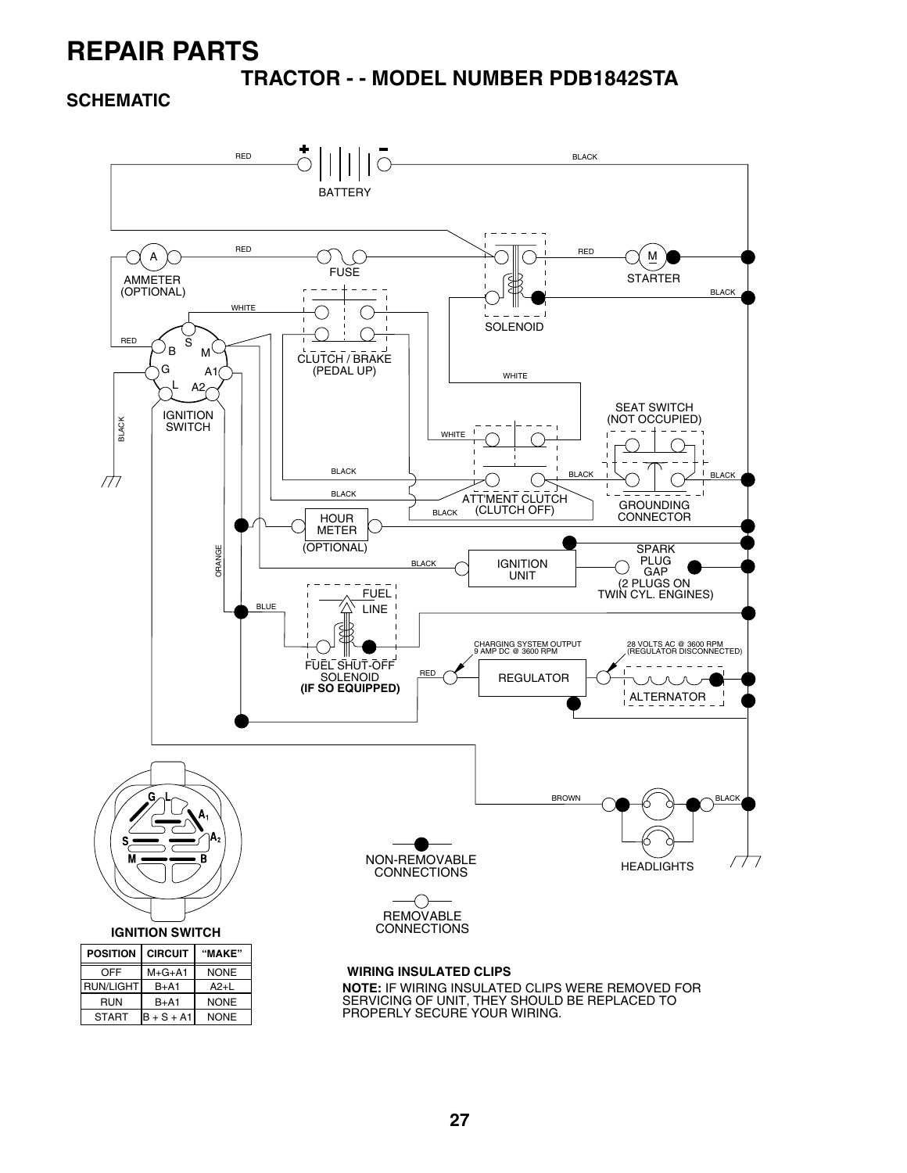**TRACTOR - - MODEL NUMBER PDB1842STA**

**SCHEMATIC**

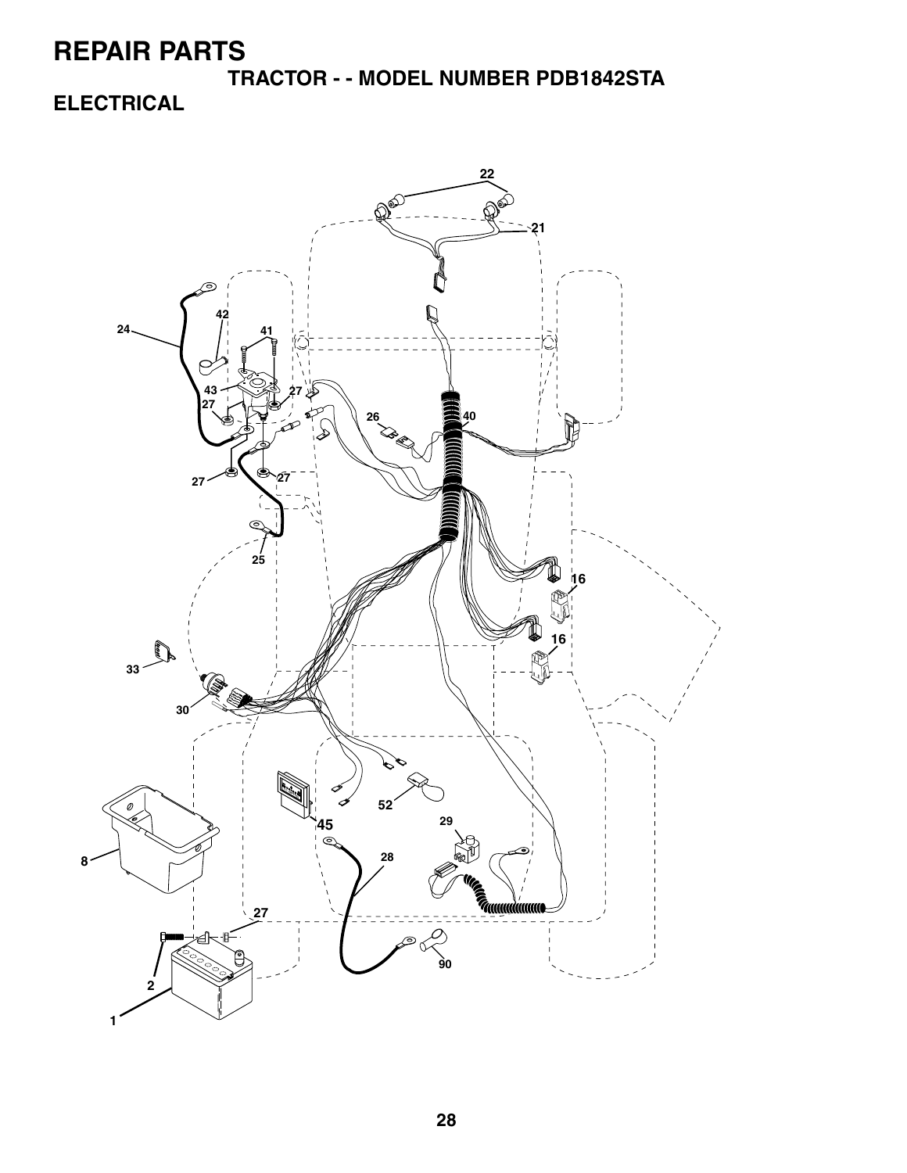**TRACTOR - - MODEL NUMBER PDB1842STA ELECTRICAL**

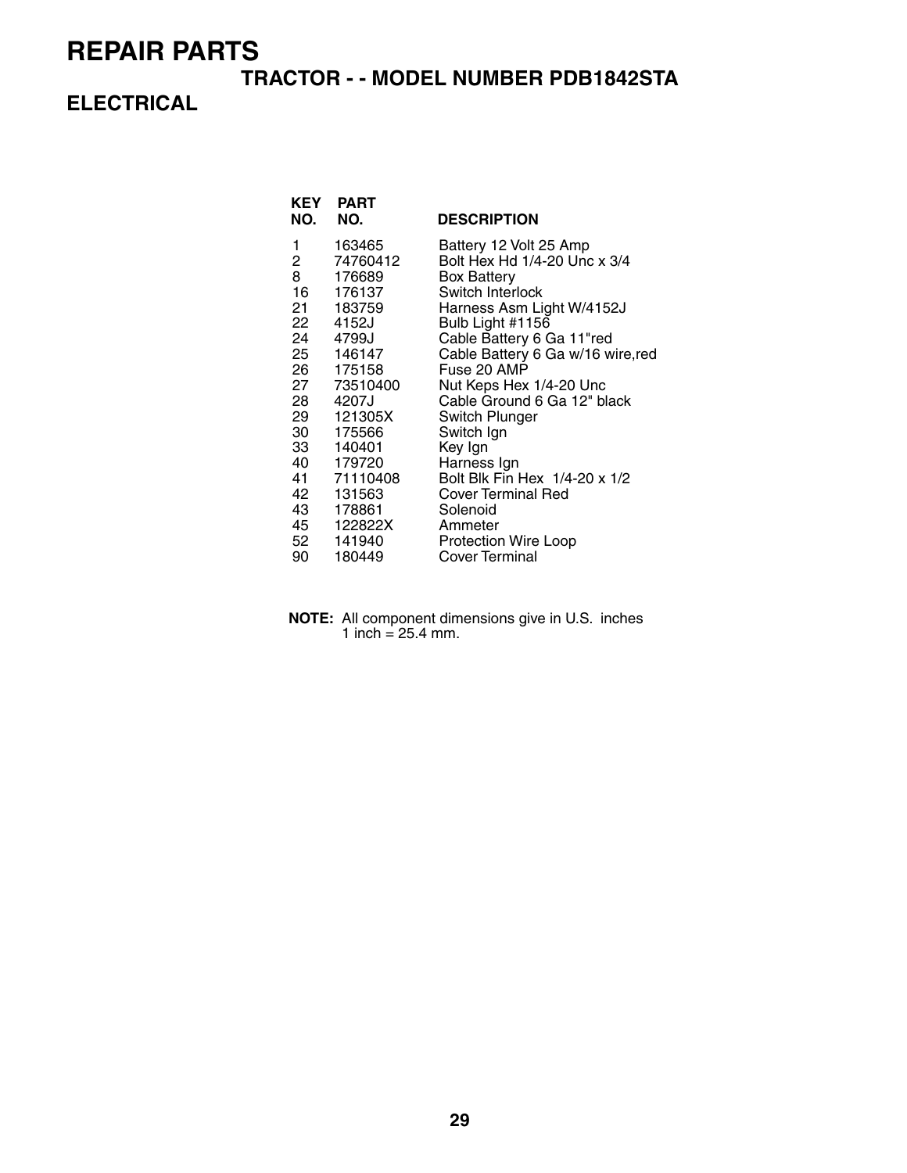#### **TRACTOR - - MODEL NUMBER PDB1842STA**

### **ELECTRICAL**

| KEY<br>NO.                                                                               | <b>PART</b><br>NO.                                                                                                                                                                                                                          | <b>DESCRIPTION</b>                                                                                                                                                                                                                                                                                                                                                                                                                                                                    |
|------------------------------------------------------------------------------------------|---------------------------------------------------------------------------------------------------------------------------------------------------------------------------------------------------------------------------------------------|---------------------------------------------------------------------------------------------------------------------------------------------------------------------------------------------------------------------------------------------------------------------------------------------------------------------------------------------------------------------------------------------------------------------------------------------------------------------------------------|
| 1<br>$\overline{2}$<br>8<br>16<br>21<br>28<br>29 —<br>30<br>33 —<br>42<br>43<br>45<br>90 | 163465<br>74760412<br>176689<br>176137<br>183759<br>22 4152J<br>24 4799J<br>25 146147<br>26 175158<br>27 73510400<br>4207J<br>121305X<br>175566<br>140401<br>40 179720<br>41 71110408<br>131563<br>178861<br>122822X<br>52 141940<br>180449 | Battery 12 Volt 25 Amp<br>Bolt Hex Hd 1/4-20 Unc x 3/4<br><b>Box Battery</b><br>Switch Interlock<br>Harness Asm Light W/4152J<br>Bulb Light #1156<br>Cable Battery 6 Ga 11"red<br>Cable Battery 6 Ga w/16 wire, red<br>Fuse 20 AMP<br>Nut Keps Hex 1/4-20 Unc<br>Cable Ground 6 Ga 12" black<br>Switch Plunger<br>Switch Ign<br>Key Ign<br>Harness Ign<br>Bolt Blk Fin Hex 1/4-20 x 1/2<br>Cover Terminal Red<br>Solenoid<br>Ammeter<br><b>Protection Wire Loop</b><br>Cover Terminal |
|                                                                                          |                                                                                                                                                                                                                                             |                                                                                                                                                                                                                                                                                                                                                                                                                                                                                       |

**NOTE:** All component dimensions give in U.S. inches 1 inch =  $25.4$  mm.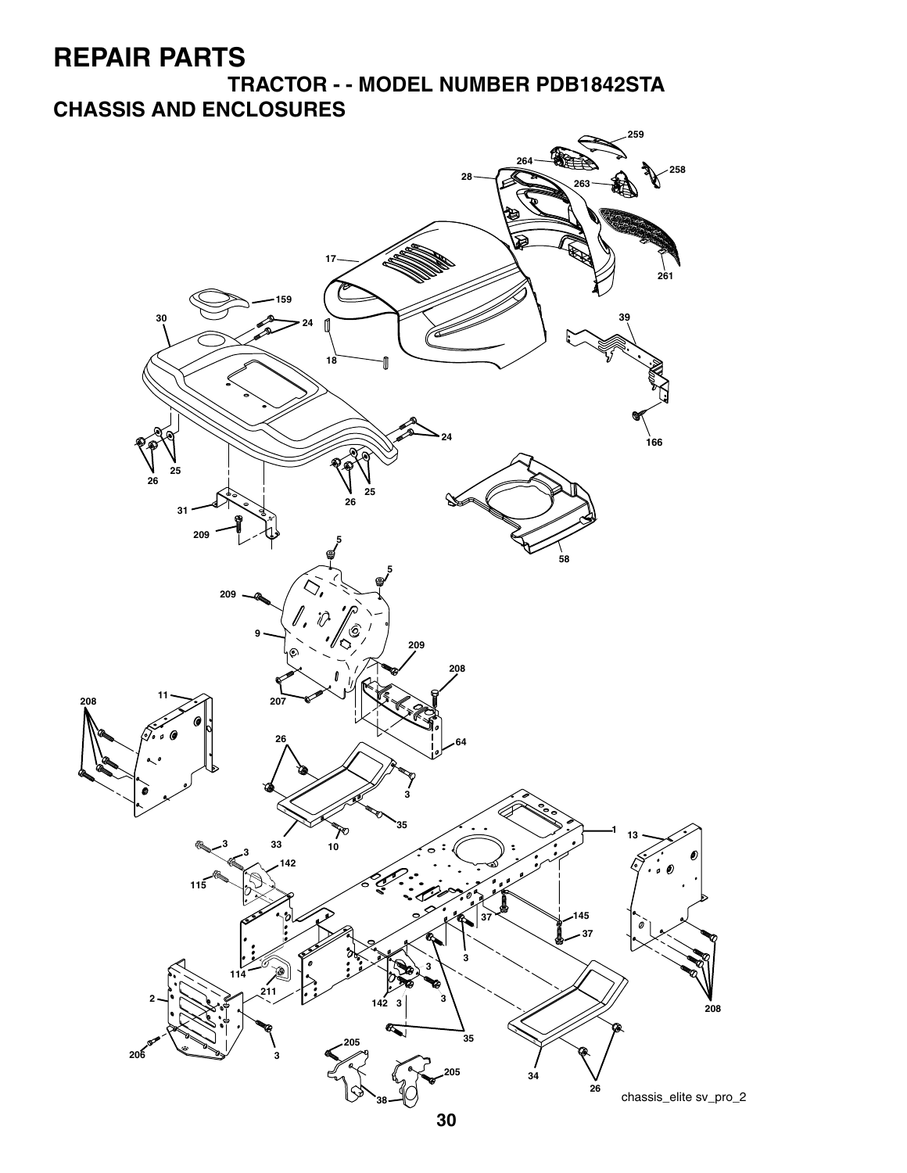**TRACTOR - - MODEL NUMBER PDB1842STA CHASSIS AND ENCLOSURES**

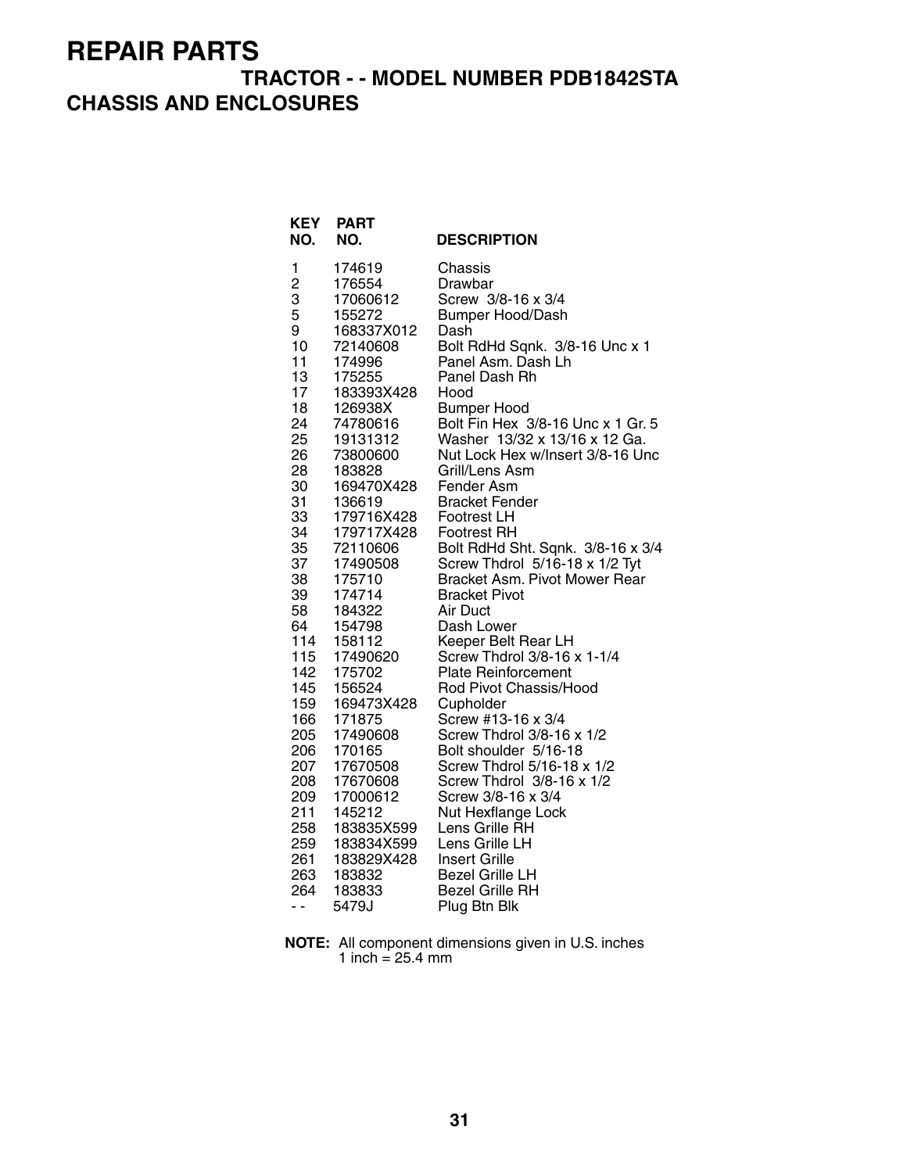### **TRACTOR - - MODEL NUMBER PDB1842STA CHASSIS AND ENCLOSURES**

| <b>KEY</b><br>NO. | <b>PART</b><br>NO.   | <b>DESCRIPTION</b>                   |
|-------------------|----------------------|--------------------------------------|
| 1                 | 174619               | Chassis                              |
| 2                 | 176554               | Drawbar                              |
| 3                 | 17060612             | Screw 3/8-16 x 3/4                   |
| 5                 | 155272               | <b>Bumper Hood/Dash</b>              |
| 9                 | 168337X012           | Dash                                 |
| 10                | 72140608             | Bolt RdHd Sqnk. 3/8-16 Unc x 1       |
| 11<br>13          | 174996               | Panel Asm. Dash Lh<br>Panel Dash Rh  |
| 17                | 175255<br>183393X428 | Hood                                 |
| 18                | 126938X              | <b>Bumper Hood</b>                   |
| 24                | 74780616             | Bolt Fin Hex 3/8-16 Unc x 1 Gr. 5    |
| 25                | 19131312             | Washer 13/32 x 13/16 x 12 Ga.        |
| 26                | 73800600             | Nut Lock Hex w/Insert 3/8-16 Unc     |
| 28                | 183828               | Grill/Lens Asm                       |
| 30                | 169470X428           | Fender Asm                           |
| 31                | 136619               | <b>Bracket Fender</b>                |
| 33                | 179716X428           | Footrest LH                          |
| 34                | 179717X428           | Footrest RH                          |
| 35                | 72110606             | Bolt RdHd Sht. Sqnk. 3/8-16 x 3/4    |
| 37                | 17490508             | Screw Thdrol 5/16-18 x 1/2 Tyt       |
| 38                | 175710               | Bracket Asm. Pivot Mower Rear        |
| 39                | 174714               | Bracket Pivot                        |
| 58<br>64          | 184322<br>154798     | Air Duct                             |
| 114               | 158112               | Dash Lower<br>Keeper Belt Rear LH    |
| 115               | 17490620             | Screw Thdrol 3/8-16 x 1-1/4          |
| 142               | 175702               | <b>Plate Reinforcement</b>           |
| 145               | 156524               | Rod Pivot Chassis/Hood               |
| 159               | 169473X428           | Cupholder                            |
| 166               | 171875               | Screw #13-16 x 3/4                   |
| 205               | 17490608             | Screw Thdrol 3/8-16 x 1/2            |
| 206               | 170165               | Bolt shoulder 5/16-18                |
| 207               | 17670508             | Screw Thdrol 5/16-18 x 1/2           |
| 208               | 17670608             | Screw Thdrol 3/8-16 x 1/2            |
| 209               | 17000612             | Screw 3/8-16 x 3/4                   |
| 211<br>258        | 145212<br>183835X599 | Nut Hexflange Lock<br>Lens Grille RH |
| 259               | 183834X599           | Lens Grille LH                       |
| 261               | 183829X428           | <b>Insert Grille</b>                 |
| 263               | 183832               | <b>Bezel Grille LH</b>               |
| 264               | 183833               | <b>Bezel Grille RH</b>               |
| - -               | 5479J                | Plug Btn Blk                         |

**NOTE:** All component dimensions given in U.S. inches 1 inch  $= 25.4$  mm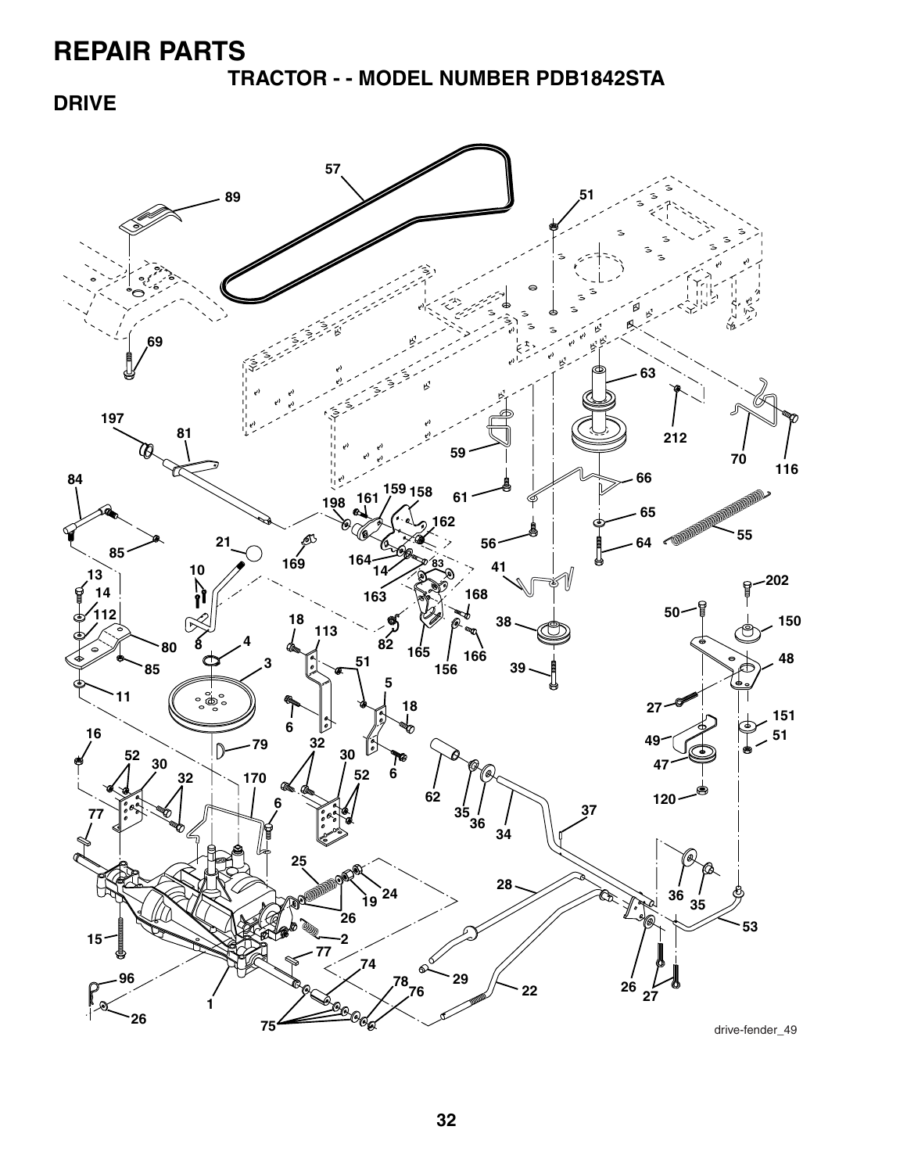**TRACTOR - - MODEL NUMBER PDB1842STA**

**DRIVE**

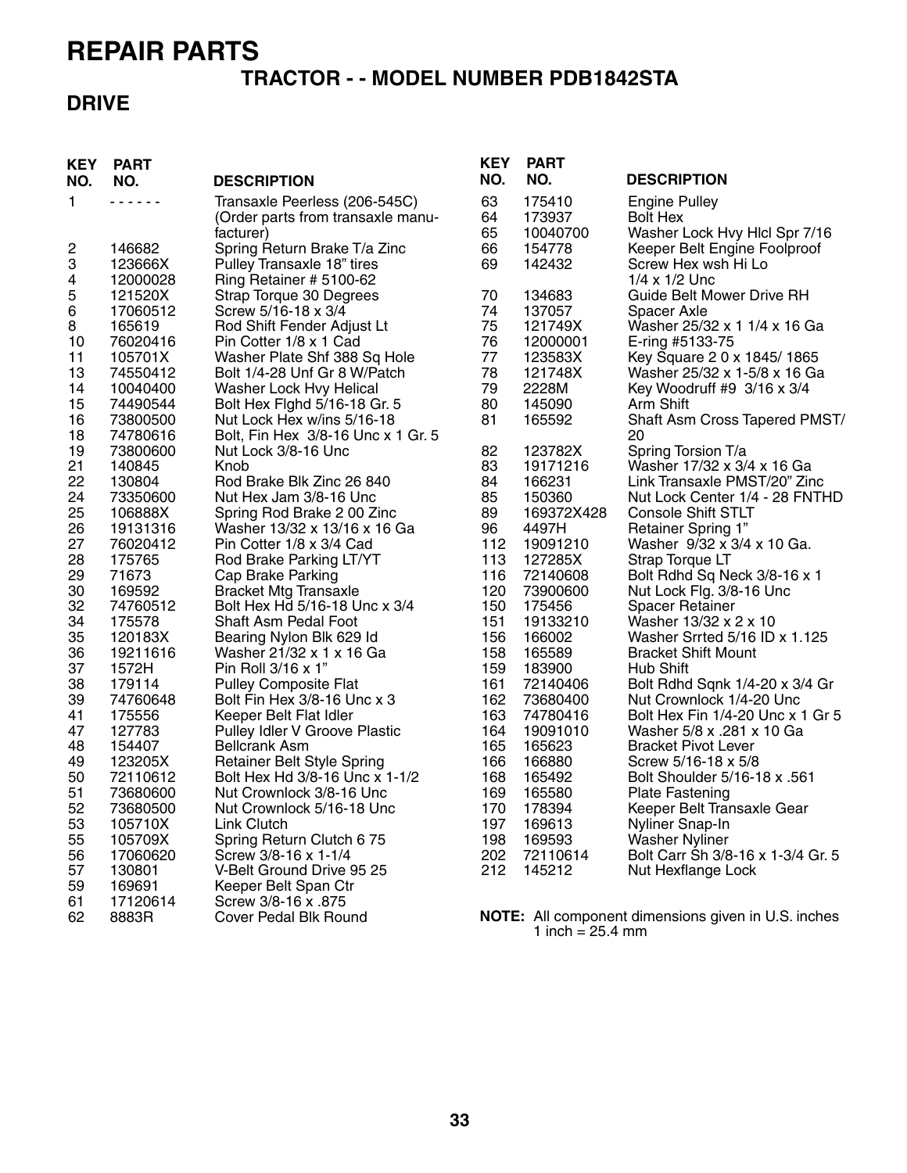#### **TRACTOR - - MODEL NUMBER PDB1842STA**

### **DRIVE**

| <b>KEY</b>              | <b>PART</b>          |                                                                                 | <b>KEY</b>     | <b>PART</b>                  |                                                                          |
|-------------------------|----------------------|---------------------------------------------------------------------------------|----------------|------------------------------|--------------------------------------------------------------------------|
| NO.                     | NO.                  | <b>DESCRIPTION</b>                                                              | NO.            | NO.                          | <b>DESCRIPTION</b>                                                       |
| 1.                      | .                    | Transaxle Peerless (206-545C)<br>(Order parts from transaxle manu-<br>facturer) | 63<br>64<br>65 | 175410<br>173937<br>10040700 | <b>Engine Pulley</b><br><b>Bolt Hex</b><br>Washer Lock Hvy Hicl Spr 7/16 |
| $\overline{\mathbf{c}}$ | 146682               | Spring Return Brake T/a Zinc                                                    | 66             | 154778                       | Keeper Belt Engine Foolproof                                             |
| 3<br>4                  | 123666X<br>12000028  | Pulley Transaxle 18" tires<br>Ring Retainer # 5100-62                           | 69             | 142432                       | Screw Hex wsh Hi Lo<br>$1/4 \times 1/2$ Unc                              |
| 5                       | 121520X              | Strap Torque 30 Degrees                                                         | 70             | 134683                       | <b>Guide Belt Mower Drive RH</b>                                         |
| 6                       | 17060512             | Screw 5/16-18 x 3/4                                                             | 74             | 137057                       | Spacer Axle                                                              |
| 8                       | 165619               | Rod Shift Fender Adjust Lt                                                      | 75             | 121749X                      | Washer 25/32 x 1 1/4 x 16 Ga                                             |
| 10                      | 76020416             | Pin Cotter 1/8 x 1 Cad                                                          | 76             | 12000001                     | E-ring #5133-75                                                          |
| 11                      | 105701X              | Washer Plate Shf 388 Sq Hole                                                    | 77             | 123583X                      | Key Square 2 0 x 1845/1865                                               |
| 13                      | 74550412             | Bolt 1/4-28 Unf Gr 8 W/Patch                                                    | 78             | 121748X                      | Washer 25/32 x 1-5/8 x 16 Ga                                             |
| 14                      | 10040400             | Washer Lock Hvy Helical                                                         | 79             | 2228M                        | Key Woodruff #9 3/16 x 3/4                                               |
| 15                      | 74490544             | Bolt Hex Fighd 5/16-18 Gr. 5                                                    | 80             | 145090                       | Arm Shift                                                                |
| 16<br>18                | 73800500<br>74780616 | Nut Lock Hex w/ins 5/16-18<br>Bolt, Fin Hex 3/8-16 Unc x 1 Gr. 5                | 81             | 165592                       | Shaft Asm Cross Tapered PMST/<br>20                                      |
| 19                      | 73800600             | Nut Lock 3/8-16 Unc                                                             | 82             | 123782X                      | Spring Torsion T/a                                                       |
| 21                      | 140845               | Knob                                                                            | 83             | 19171216                     | Washer 17/32 x 3/4 x 16 Ga                                               |
| 22                      | 130804               | Rod Brake Blk Zinc 26 840                                                       | 84             | 166231                       | Link Transaxle PMST/20" Zinc                                             |
| 24                      | 73350600             | Nut Hex Jam 3/8-16 Unc                                                          | 85             | 150360                       | Nut Lock Center 1/4 - 28 FNTHD                                           |
| 25                      | 106888X              | Spring Rod Brake 2 00 Zinc                                                      | 89             | 169372X428                   | <b>Console Shift STLT</b>                                                |
| 26                      | 19131316             | Washer 13/32 x 13/16 x 16 Ga                                                    | 96             | 4497H                        | <b>Retainer Spring 1"</b>                                                |
| 27                      | 76020412             | Pin Cotter 1/8 x 3/4 Cad                                                        | 112            | 19091210                     | Washer 9/32 x 3/4 x 10 Ga.                                               |
| 28                      | 175765               | Rod Brake Parking LT/YT                                                         | 113            | 127285X                      | Strap Torque LT                                                          |
| 29                      | 71673                | Cap Brake Parking                                                               | 116            | 72140608                     | Bolt Rdhd Sq Neck 3/8-16 x 1                                             |
| 30                      | 169592               | <b>Bracket Mtg Transaxle</b>                                                    | 120            | 73900600                     | Nut Lock Flg. 3/8-16 Unc                                                 |
| 32                      | 74760512             | Bolt Hex Hd 5/16-18 Unc x 3/4                                                   | 150            | 175456                       | <b>Spacer Retainer</b>                                                   |
| 34                      | 175578               | Shaft Asm Pedal Foot                                                            | 151            | 19133210                     | Washer 13/32 x 2 x 10                                                    |
| 35                      | 120183X              | Bearing Nylon Blk 629 Id                                                        | 156            | 166002                       | Washer Srrted 5/16 ID x 1.125                                            |
| 36                      | 19211616             | Washer 21/32 x 1 x 16 Ga                                                        | 158            | 165589                       | <b>Bracket Shift Mount</b>                                               |
| 37                      | 1572H                | Pin Roll 3/16 x 1"                                                              | 159            | 183900                       | Hub Shift                                                                |
| 38                      | 179114               | <b>Pulley Composite Flat</b>                                                    | 161            | 72140406                     | Bolt Rdhd Sqnk 1/4-20 x 3/4 Gr                                           |
| 39                      | 74760648             | Bolt Fin Hex 3/8-16 Unc x 3                                                     | 162            | 73680400                     | Nut Crownlock 1/4-20 Unc                                                 |
| 41                      | 175556               | Keeper Belt Flat Idler                                                          | 163            | 74780416                     | Bolt Hex Fin 1/4-20 Unc x 1 Gr 5                                         |
| 47                      | 127783               | Pulley Idler V Groove Plastic                                                   | 164            | 19091010                     | Washer 5/8 x .281 x 10 Ga                                                |
| 48                      | 154407               | <b>Bellcrank Asm</b>                                                            | 165            | 165623                       | <b>Bracket Pivot Lever</b>                                               |
| 49                      | 123205X              | Retainer Belt Style Spring                                                      | 166            | 166880                       | Screw 5/16-18 x 5/8                                                      |
| 50                      | 72110612             | Bolt Hex Hd 3/8-16 Unc x 1-1/2                                                  | 168            | 165492                       | Bolt Shoulder 5/16-18 x .561                                             |
| 51                      | 73680600             | Nut Crownlock 3/8-16 Unc                                                        | 169            | 165580                       | <b>Plate Fastening</b>                                                   |
| 52                      | 73680500             | Nut Crownlock 5/16-18 Unc                                                       | 170            | 178394                       | Keeper Belt Transaxle Gear                                               |
| 53                      | 105710X              | <b>Link Clutch</b>                                                              | 197            | 169613                       | Nyliner Snap-In                                                          |
| 55                      | 105709X              | Spring Return Clutch 6 75                                                       | 198            | 169593                       | <b>Washer Nyliner</b>                                                    |
| 56                      | 17060620             | Screw 3/8-16 x 1-1/4                                                            | 202            | 72110614                     | Bolt Carr Sh 3/8-16 x 1-3/4 Gr. 5                                        |
| 57                      | 130801               | V-Belt Ground Drive 95 25                                                       | 212            | 145212                       | Nut Hexflange Lock                                                       |
| 59                      | 169691               | Keeper Belt Span Ctr                                                            |                |                              |                                                                          |
| 61                      | 17120614             | Screw 3/8-16 x .875                                                             |                |                              |                                                                          |
| 62                      | 8883R                | Cover Pedal Blk Round                                                           |                | 1 inch = $25.4$ mm           | <b>NOTE:</b> All component dimensions given in U.S. inches               |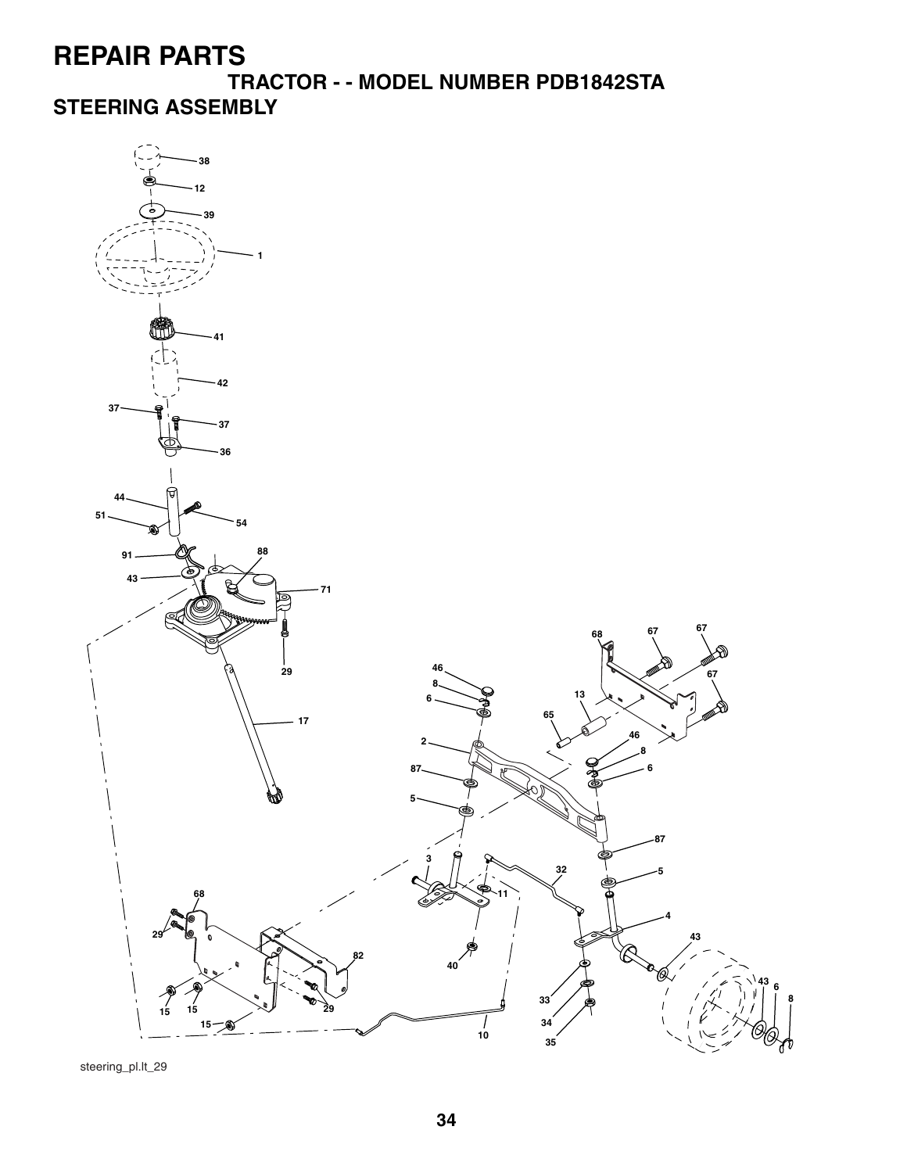**TRACTOR - - MODEL NUMBER PDB1842STA STEERING ASSEMBLY**



steering\_pl.lt\_29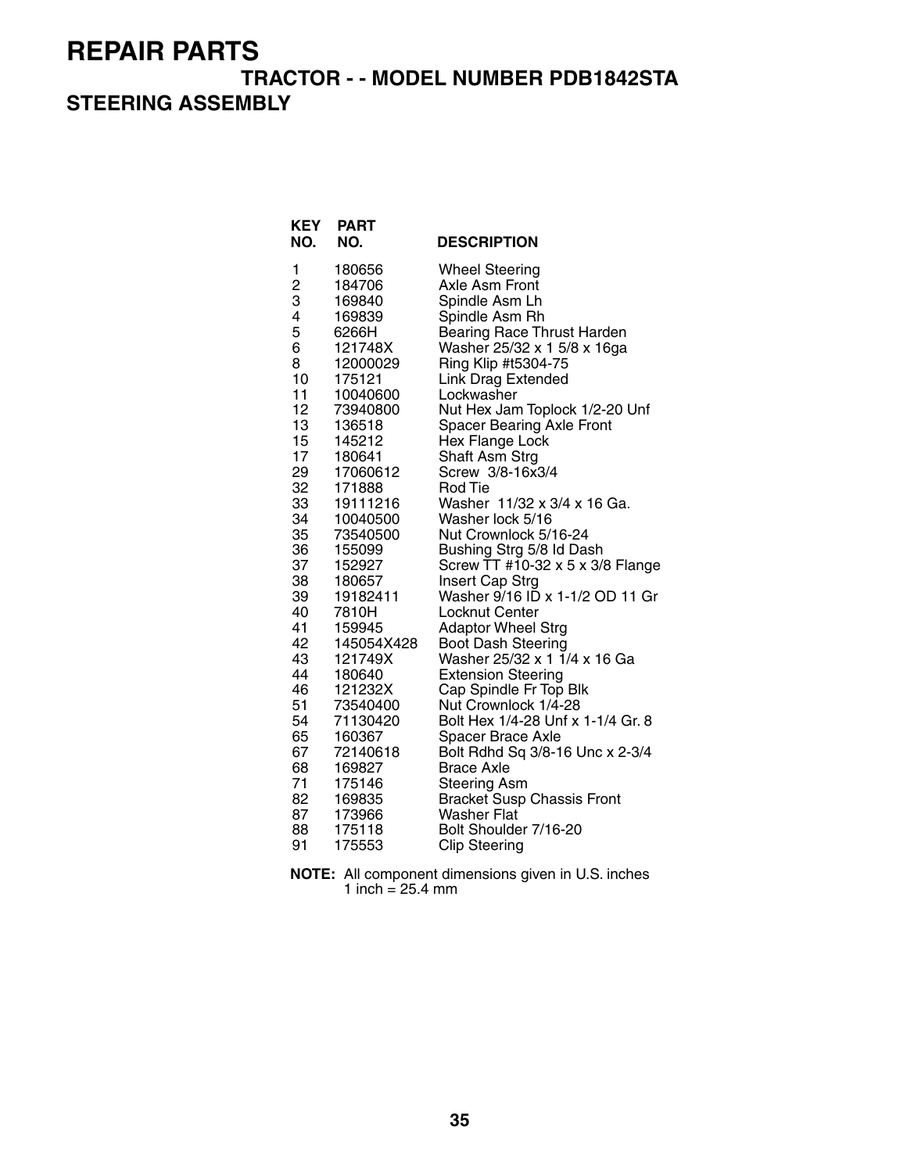#### **TRACTOR - - MODEL NUMBER PDB1842STA STEERING ASSEMBLY**

| <b>KEY</b><br>NO. | <b>PART</b><br>NO.   | <b>DESCRIPTION</b>                              |
|-------------------|----------------------|-------------------------------------------------|
| 1                 | 180656               | <b>Wheel Steering</b>                           |
| $\overline{c}$    | 184706               | Axle Asm Front                                  |
| 3                 | 169840               | Spindle Asm Lh                                  |
| 4                 | 169839               | Spindle Asm Rh                                  |
| 5                 | 6266H                | Bearing Race Thrust Harden                      |
| 6                 | 121748X              | Washer 25/32 x 1 5/8 x 16ga                     |
| 8                 | 12000029             | Ring Klip #t5304-75                             |
| 10                | 175121               | <b>Link Drag Extended</b>                       |
| 11                | 10040600             | Lockwasher                                      |
| 12                | 73940800             | Nut Hex Jam Toplock 1/2-20 Unf                  |
| 13                | 136518               | <b>Spacer Bearing Axle Front</b>                |
| 15                | 145212               | Hex Flange Lock                                 |
| 17                | 180641               | Shaft Asm Strg                                  |
| 29                | 17060612             | Screw 3/8-16x3/4                                |
| 32<br>33          | 171888               | Rod Tie                                         |
| 34                | 19111216             | Washer 11/32 x 3/4 x 16 Ga.<br>Washer lock 5/16 |
| 35                | 10040500<br>73540500 | Nut Crownlock 5/16-24                           |
| 36                | 155099               | Bushing Strg 5/8 Id Dash                        |
| 37                | 152927               | Screw TT #10-32 x 5 x 3/8 Flange                |
| 38                | 180657               | <b>Insert Cap Strg</b>                          |
| 39                | 19182411             | Washer 9/16 ID x 1-1/2 OD 11 Gr                 |
| 40                | 7810H                | Locknut Center                                  |
| 41                | 159945               | <b>Adaptor Wheel Strg</b>                       |
| 42                | 145054X428           | <b>Boot Dash Steering</b>                       |
| 43                | 121749X              | Washer 25/32 x 1 1/4 x 16 Ga                    |
| 44                | 180640               | <b>Extension Steering</b>                       |
| 46                | 121232X              | Cap Spindle Fr Top Blk                          |
| 51                | 73540400             | Nut Crownlock 1/4-28                            |
| 54                | 71130420             | Bolt Hex 1/4-28 Unf x 1-1/4 Gr. 8               |
| 65                | 160367               | <b>Spacer Brace Axle</b>                        |
| 67                | 72140618             | Bolt Rdhd Sq 3/8-16 Unc x 2-3/4                 |
| 68                | 169827               | <b>Brace Axle</b>                               |
| 71                | 175146               | <b>Steering Asm</b>                             |
| 82                | 169835               | <b>Bracket Susp Chassis Front</b>               |
| 87                | 173966               | <b>Washer Flat</b>                              |
| 88                | 175118               | Bolt Shoulder 7/16-20                           |
| 91                | 175553               | <b>Clip Steering</b>                            |

| <b>NOTE:</b> All component dimensions given in U.S. inches |
|------------------------------------------------------------|
| 1 inch = $25.4 \text{ mm}$                                 |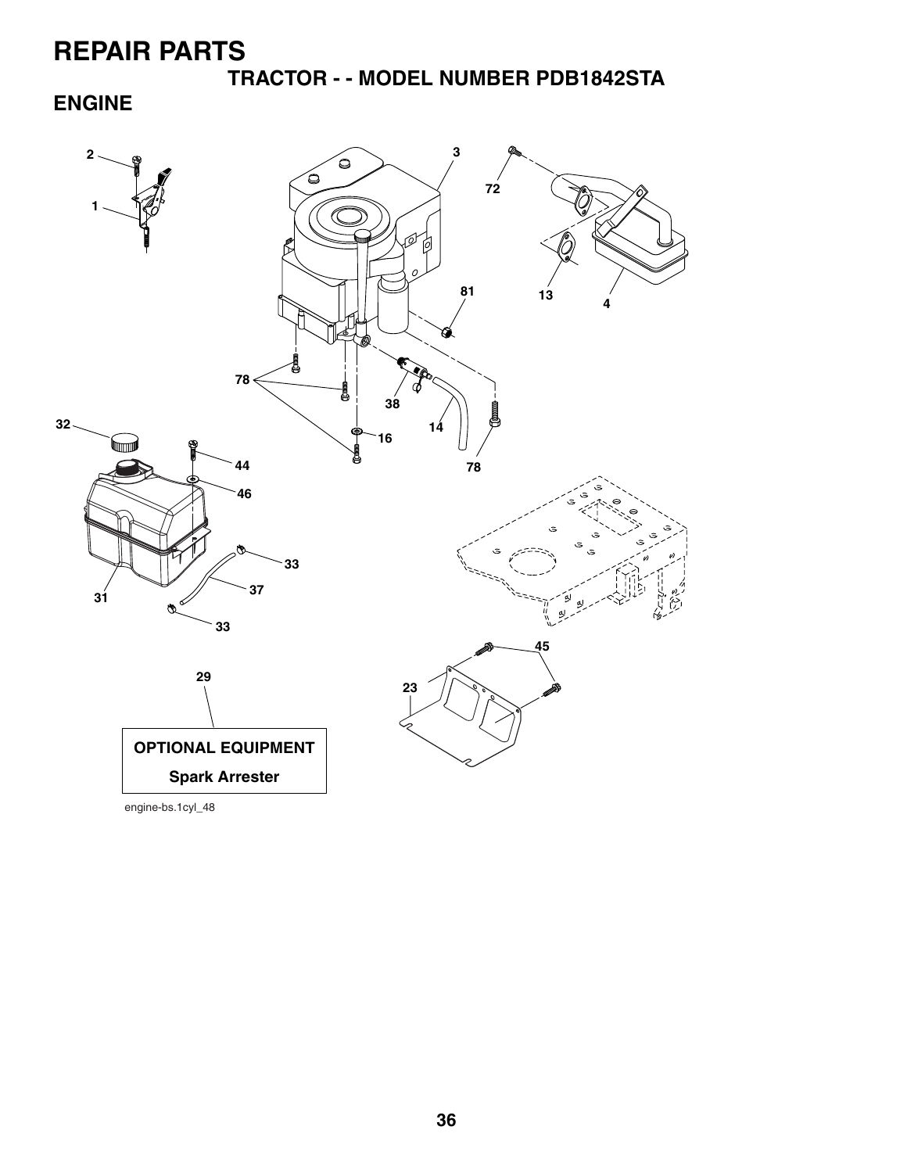**TRACTOR - - MODEL NUMBER PDB1842STA**

**ENGINE**

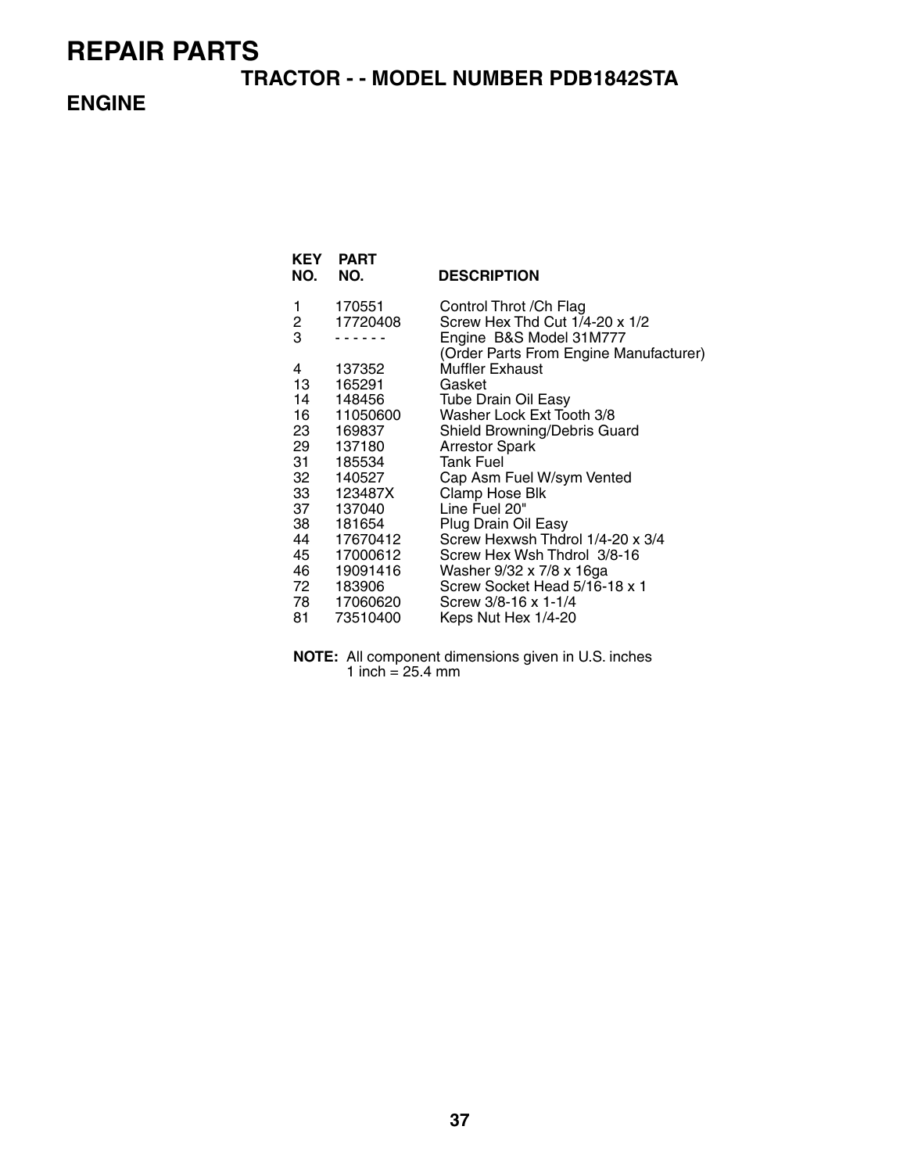#### **TRACTOR - - MODEL NUMBER PDB1842STA**

#### **ENGINE**

| KEY<br>NO. | <b>PART</b><br>NO. | <b>DESCRIPTION</b>                                        |
|------------|--------------------|-----------------------------------------------------------|
| 1          | 170551             | Control Throt / Ch Flag                                   |
| 2<br>3     | 17720408           | Screw Hex Thd Cut 1/4-20 x 1/2<br>Engine B&S Model 31M777 |
|            |                    | (Order Parts From Engine Manufacturer)                    |
| 4          | 137352             | Muffler Exhaust                                           |
| 13 —       | 165291             | Gasket                                                    |
| 14         | 148456             | <b>Tube Drain Oil Easy</b>                                |
| 16         | 11050600           | Washer Lock Ext Tooth 3/8                                 |
| 23         | 169837             | Shield Browning/Debris Guard                              |
| 29         | 137180             | <b>Arrestor Spark</b>                                     |
| 31<br>32   | 185534<br>140527   | <b>Tank Fuel</b><br>Cap Asm Fuel W/sym Vented             |
| 33         | 123487X            | Clamp Hose Blk                                            |
| 37         | 137040             | Line Fuel 20"                                             |
| 38         | 181654             | Plug Drain Oil Easy                                       |
| 44         | 17670412           | Screw Hexwsh Thdrol 1/4-20 x 3/4                          |
| 45         | 17000612           | Screw Hex Wsh Thdrol 3/8-16                               |
| 46         | 19091416           | Washer 9/32 x 7/8 x 16ga                                  |
| 72         | 183906             | Screw Socket Head 5/16-18 x 1                             |
|            | 78 17060620        | Screw 3/8-16 x 1-1/4                                      |
| 81         | 73510400           | Keps Nut Hex 1/4-20                                       |

**NOTE:** All component dimensions given in U.S. inches 1 inch = 25.4 mm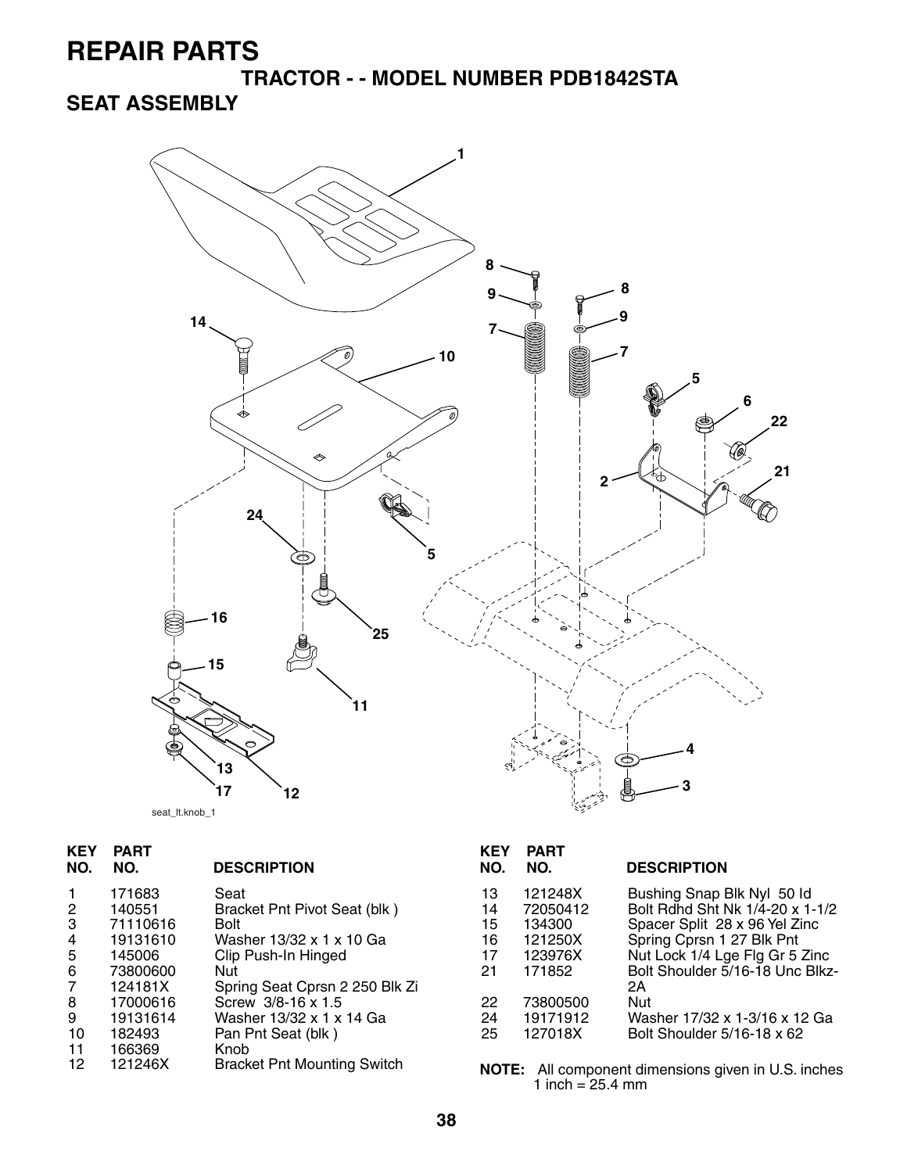**TRACTOR - - MODEL NUMBER PDB1842STA**

**SEAT ASSEMBLY**



| <b>KEY</b><br>NO. | <b>PART</b><br>NO. | <b>DESCRIPTION</b>                 | <b>KEY</b><br>NO. | <b>PART</b><br>NO. | <b>DESCRIPTION</b>                                         |
|-------------------|--------------------|------------------------------------|-------------------|--------------------|------------------------------------------------------------|
| $\mathbf{1}$      | 171683             | Seat                               | 13                | 121248X            | Bushing Snap Blk Nyl 50 ld                                 |
| $\overline{2}$    | 140551             | Bracket Pnt Pivot Seat (blk)       | 14                | 72050412           | Bolt Rdhd Sht Nk 1/4-20 x 1-1/2                            |
| 3                 | 71110616           | Bolt                               | 15                | 134300             | Spacer Split 28 x 96 Yel Zinc                              |
| 4                 | 19131610           | Washer 13/32 x 1 x 10 Ga           | 16                | 121250X            | Spring Cprsn 1 27 Blk Pnt                                  |
| 5                 | 145006             | Clip Push-In Hinged                | 17                | 123976X            | Nut Lock 1/4 Lge Flg Gr 5 Zinc                             |
| 6                 | 73800600           | Nut                                | 21                | 171852             | Bolt Shoulder 5/16-18 Unc Blkz-                            |
| $\overline{7}$    | 124181X            | Spring Seat Cprsn 2 250 Blk Zi     |                   |                    | 2Α                                                         |
| 8                 | 17000616           | Screw 3/8-16 x 1.5                 | 22                | 73800500           | Nut                                                        |
| 9                 | 19131614           | Washer 13/32 x 1 x 14 Ga           | 24                | 19171912           | Washer 17/32 x 1-3/16 x 12 Ga                              |
| 10                | 182493             | Pan Pnt Seat (blk)                 | 25                | 127018X            | Bolt Shoulder 5/16-18 x 62                                 |
| 11                | 166369             | Knob                               |                   |                    |                                                            |
| 12 <sup>2</sup>   | 121246X            | <b>Bracket Pnt Mounting Switch</b> |                   |                    | <b>NOTE:</b> All component dimensions given in U.S. inches |

| KEY<br>NO.                             | PART<br>NO.                                                               | <b>DESCRIPTION</b>                                                                                                                                                                                            |
|----------------------------------------|---------------------------------------------------------------------------|---------------------------------------------------------------------------------------------------------------------------------------------------------------------------------------------------------------|
| 13<br>14<br>15<br>16<br>17<br>21<br>22 | 121248X<br>72050412<br>134300<br>121250X<br>123976X<br>171852<br>73800500 | Bushing Snap Blk Nyl 50 ld<br>Bolt Rdhd Sht Nk 1/4-20 x 1-1/2<br>Spacer Split 28 x 96 Yel Zinc<br>Spring Cprsn 1 27 Blk Pnt<br>Nut Lock 1/4 Lge Flg Gr 5 Zinc<br>Bolt Shoulder 5/16-18 Unc Blkz-<br>2A<br>Nut |
| 24<br>25                               | 19171912<br>127018X                                                       | Washer 17/32 x 1-3/16 x 12 Ga<br>Bolt Shoulder 5/16-18 x 62                                                                                                                                                   |

1 inch = 25.4 mm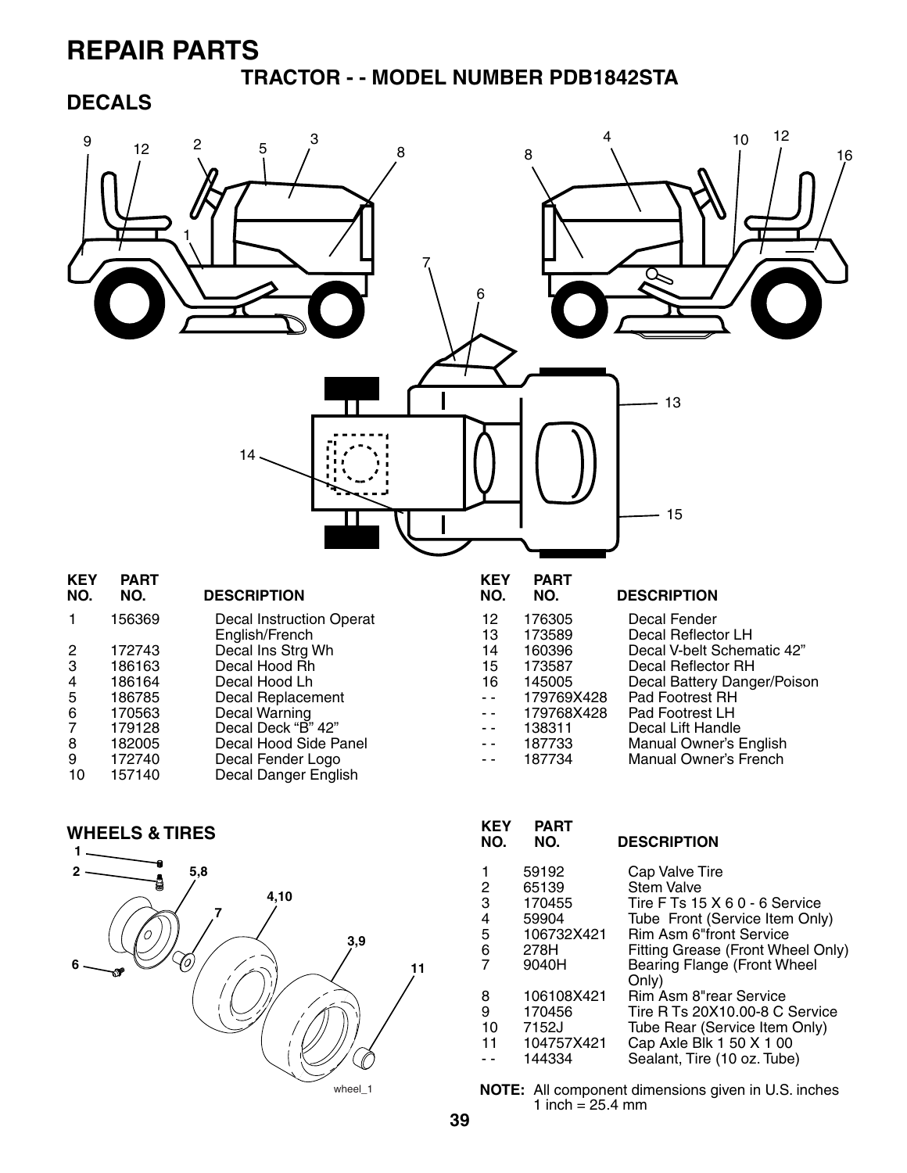#### **TRACTOR - - MODEL NUMBER PDB1842STA**

#### **DECALS**





| KEY<br>NO. | PART<br>NO. | <b>DESCRIPTION</b>                   |
|------------|-------------|--------------------------------------|
| 1          | 59192       | Cap Valve Tire                       |
| 2          | 65139       | <b>Stem Valve</b>                    |
| 3          | 170455      | Tire F Ts 15 X 6 0 - 6 Service       |
| 4          | 59904       | Tube Front (Service Item Only)       |
| 5          | 106732X421  | <b>Rim Asm 6"front Service</b>       |
| 6          | 278H        | Fitting Grease (Front Wheel Only)    |
| 7          | 9040H       | Bearing Flange (Front Wheel<br>Only) |
| 8          | 106108X421  | Rim Asm 8"rear Service               |
| 9          | 170456      | Tire R Ts 20X10.00-8 C Service       |
| 10         | 7152J       | Tube Rear (Service Item Only)        |
| 11         | 104757X421  | Cap Axle Blk 1 50 X 1 00             |
|            | 144334      | Sealant, Tire (10 oz. Tube)          |
|            |             |                                      |

**NOTE:** All component dimensions given in U.S. inches 1 inch =  $25.4 \, \text{mm}$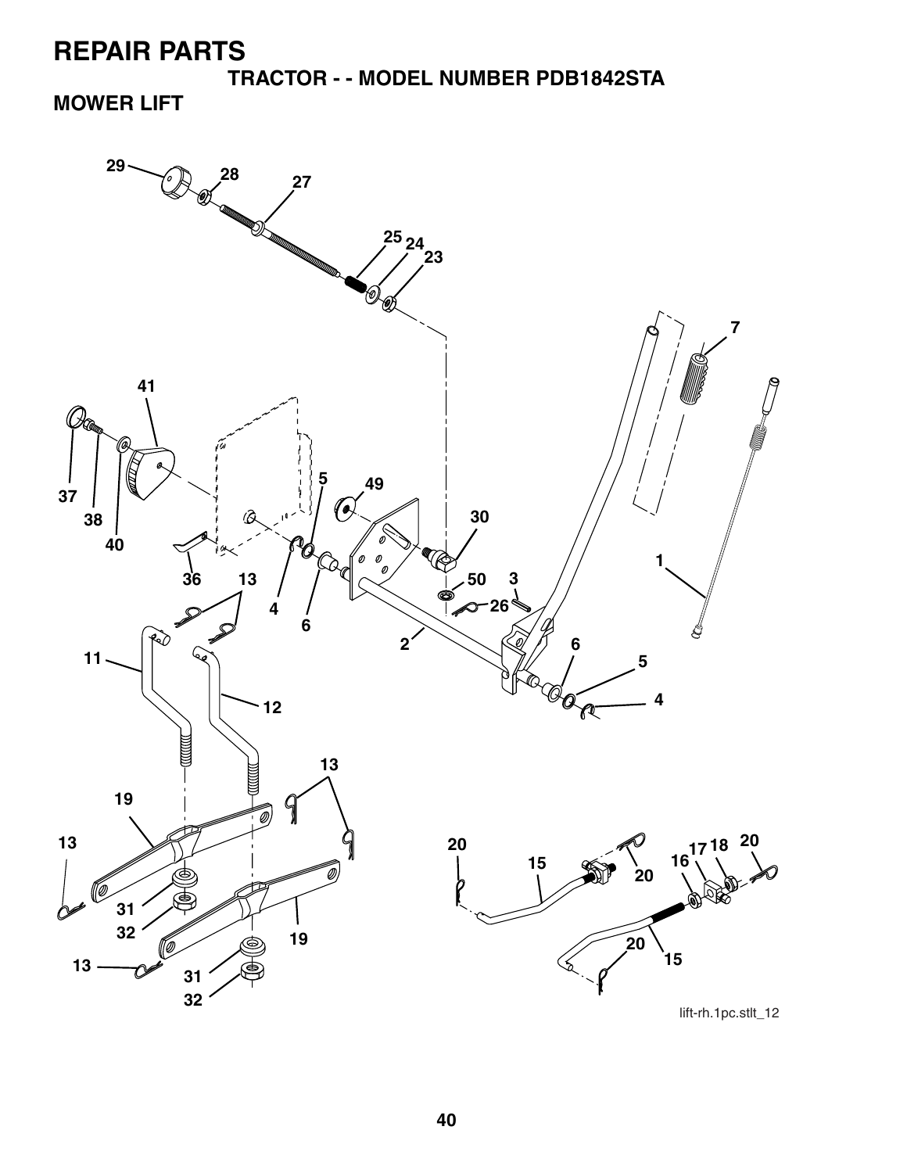**TRACTOR - - MODEL NUMBER PDB1842STA**

### **MOWER LIFT**

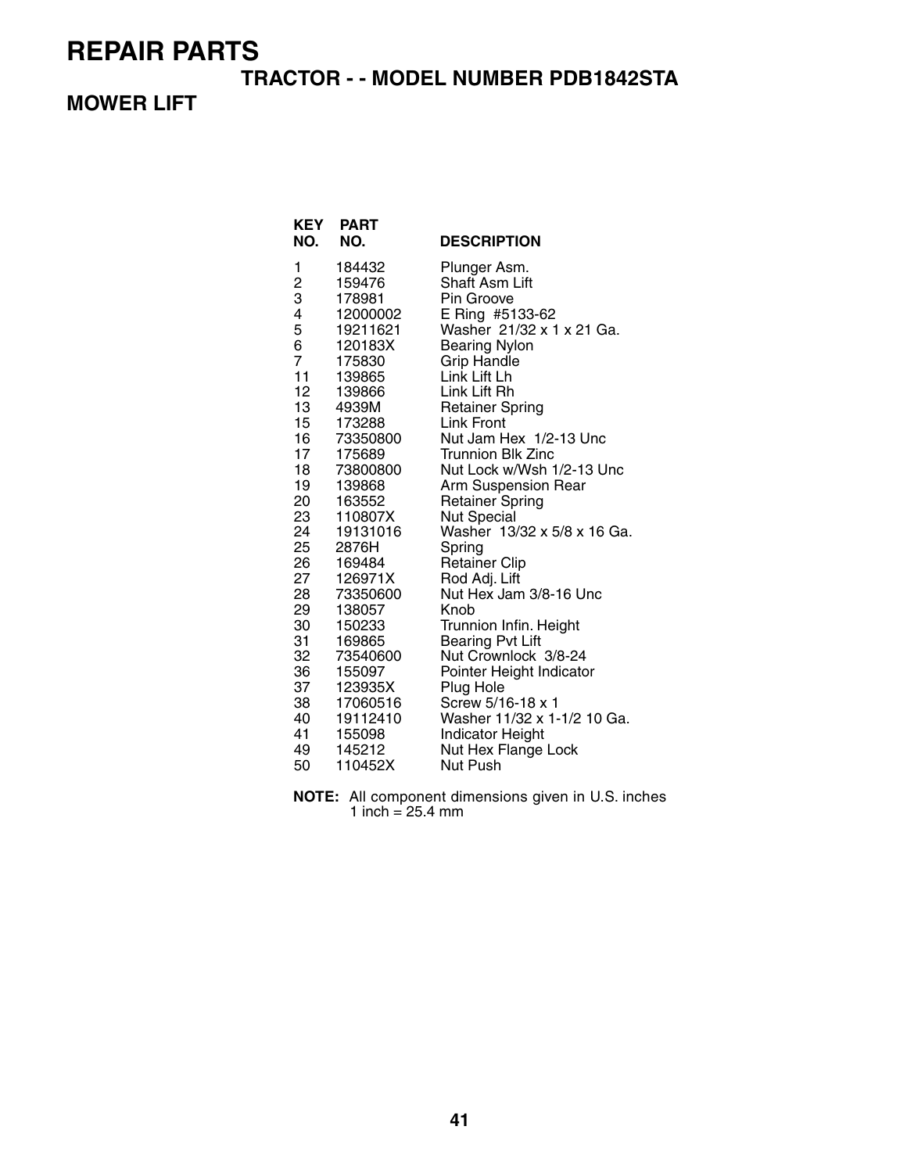#### **TRACTOR - - MODEL NUMBER PDB1842STA**

### **MOWER LIFT**

| NO.                                                                                                                                           | <b>KEY PART</b><br>NO.                                                                                                                                                                                                                | <b>DESCRIPTION</b>                                                                                                                                                                                                                                                                                                                                                                                                                                                                              |
|-----------------------------------------------------------------------------------------------------------------------------------------------|---------------------------------------------------------------------------------------------------------------------------------------------------------------------------------------------------------------------------------------|-------------------------------------------------------------------------------------------------------------------------------------------------------------------------------------------------------------------------------------------------------------------------------------------------------------------------------------------------------------------------------------------------------------------------------------------------------------------------------------------------|
| 1<br>$\frac{2}{3}$<br>4<br>5<br>6<br>$\overline{7}$<br>11<br>12<br>13<br>15<br>16<br>17<br>18<br>19<br>20<br>23<br>24<br>25<br>26<br>27<br>28 | 184432<br>159476<br>178981<br>12000002<br>19211621<br>120183X<br>175830<br>139865<br>139866<br>4939M<br>173288<br>73350800<br>175689<br>73800800<br>139868<br>163552<br>110807X<br>19131016<br>2876H<br>169484<br>126971X<br>73350600 | Plunger Asm.<br>Shaft Asm Lift<br>Pin Groove<br>E Ring #5133-62<br>Washer 21/32 x 1 x 21 Ga.<br><b>Bearing Nylon</b><br><b>Grip Handle</b><br>Link Lift Lh<br>Link Lift Rh<br><b>Retainer Spring</b><br><b>Link Front</b><br>Nut Jam Hex 1/2-13 Unc<br><b>Trunnion Blk Zinc</b><br>Nut Lock w/Wsh 1/2-13 Unc<br>Arm Suspension Rear<br><b>Retainer Spring</b><br><b>Nut Special</b><br>Washer 13/32 x 5/8 x 16 Ga.<br>Spring<br><b>Retainer Clip</b><br>Rod Adj. Lift<br>Nut Hex Jam 3/8-16 Unc |
| 29<br>30<br>31<br>32                                                                                                                          | 138057<br>150233<br>169865<br>73540600                                                                                                                                                                                                | Knob<br>Trunnion Infin. Height<br><b>Bearing Pvt Lift</b><br>Nut Crownlock 3/8-24                                                                                                                                                                                                                                                                                                                                                                                                               |
| 36<br>37<br>38<br>40<br>41<br>49                                                                                                              | 155097<br>123935X<br>17060516<br>19112410<br>155098<br>145212                                                                                                                                                                         | Pointer Height Indicator<br>Plug Hole<br>Screw 5/16-18 x 1<br>Washer 11/32 x 1-1/2 10 Ga.<br><b>Indicator Height</b><br>Nut Hex Flange Lock                                                                                                                                                                                                                                                                                                                                                     |
| 50                                                                                                                                            | 110452X                                                                                                                                                                                                                               | <b>Nut Push</b>                                                                                                                                                                                                                                                                                                                                                                                                                                                                                 |

**NOTE:** All component dimensions given in U.S. inches 1 inch = 25.4 mm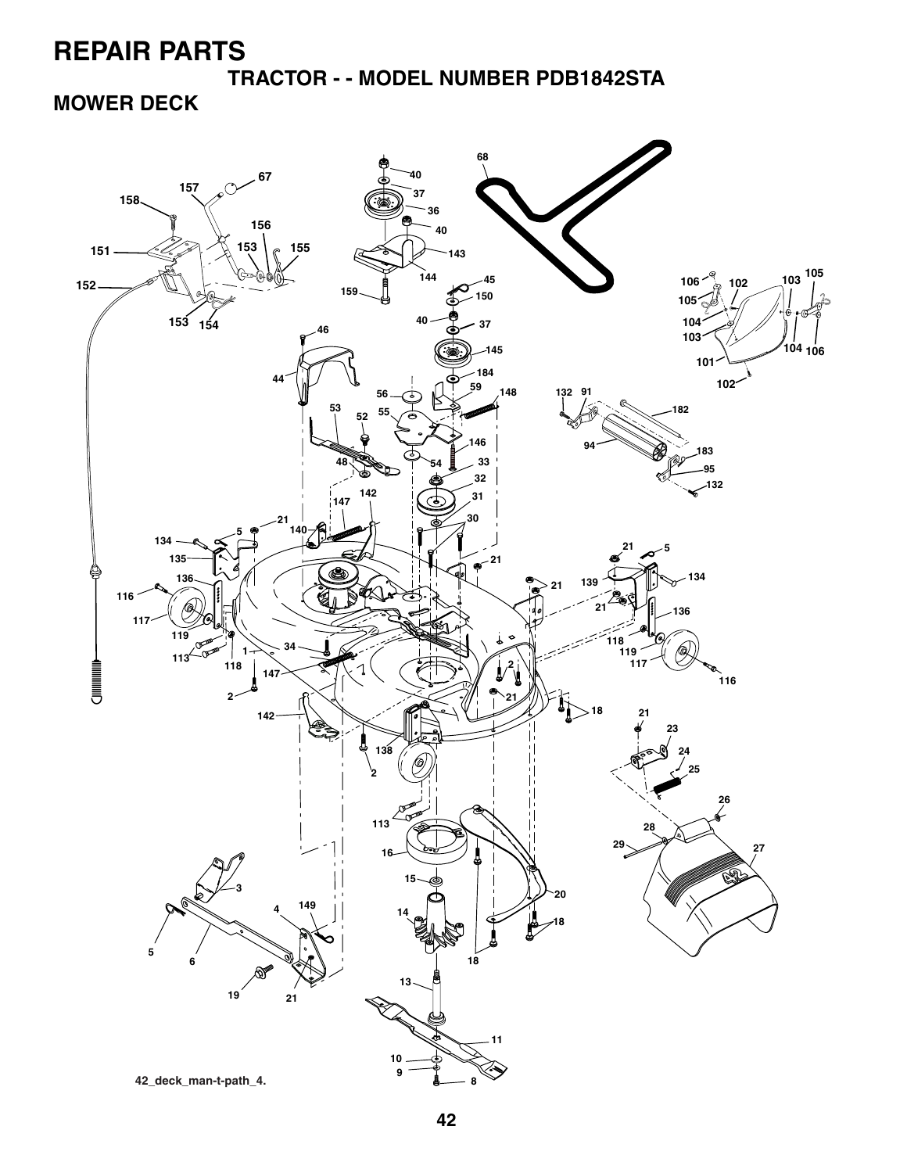**TRACTOR - - MODEL NUMBER PDB1842STA**

**MOWER DECK**